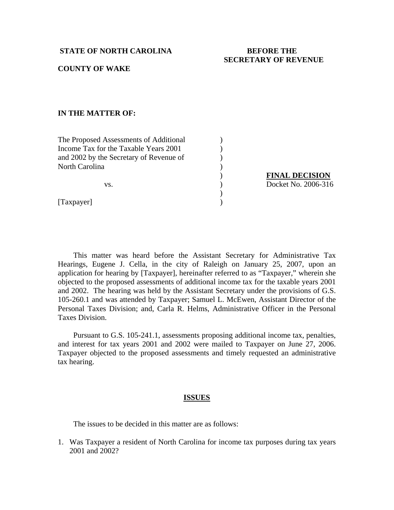## **STATE OF NORTH CAROLINA BEFORE THE**

# **SECRETARY OF REVENUE**

## **COUNTY OF WAKE**

## **IN THE MATTER OF:**

The Proposed Assessments of Additional (1) Income Tax for the Taxable Years 2001 (1) and 2002 by the Secretary of Revenue of  $($ North Carolina (1992)

 $)$ 

[Taxpayer] )

 ) **FINAL DECISION** vs. *Docket No. 2006-316* 

 This matter was heard before the Assistant Secretary for Administrative Tax Hearings, Eugene J. Cella, in the city of Raleigh on January 25, 2007, upon an application for hearing by [Taxpayer], hereinafter referred to as "Taxpayer," wherein she objected to the proposed assessments of additional income tax for the taxable years 2001 and 2002. The hearing was held by the Assistant Secretary under the provisions of G.S. 105-260.1 and was attended by Taxpayer; Samuel L. McEwen, Assistant Director of the Personal Taxes Division; and, Carla R. Helms, Administrative Officer in the Personal Taxes Division.

 Pursuant to G.S. 105-241.1, assessments proposing additional income tax, penalties, and interest for tax years 2001 and 2002 were mailed to Taxpayer on June 27, 2006. Taxpayer objected to the proposed assessments and timely requested an administrative tax hearing.

#### **ISSUES**

The issues to be decided in this matter are as follows:

1. Was Taxpayer a resident of North Carolina for income tax purposes during tax years 2001 and 2002?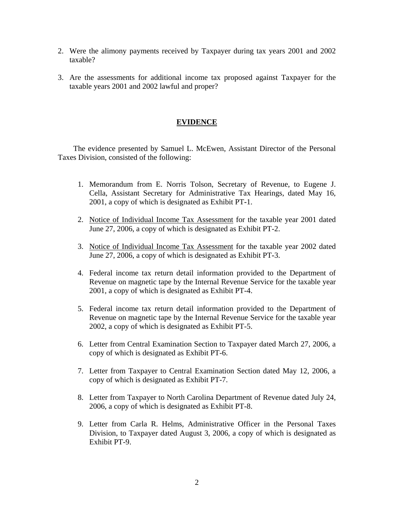- 2. Were the alimony payments received by Taxpayer during tax years 2001 and 2002 taxable?
- 3. Are the assessments for additional income tax proposed against Taxpayer for the taxable years 2001 and 2002 lawful and proper?

# **EVIDENCE**

 The evidence presented by Samuel L. McEwen, Assistant Director of the Personal Taxes Division, consisted of the following:

- 1. Memorandum from E. Norris Tolson, Secretary of Revenue, to Eugene J. Cella, Assistant Secretary for Administrative Tax Hearings, dated May 16, 2001, a copy of which is designated as Exhibit PT**-**1.
- 2. Notice of Individual Income Tax Assessment for the taxable year 2001 dated June 27, 2006, a copy of which is designated as Exhibit PT-2.
- 3. Notice of Individual Income Tax Assessment for the taxable year 2002 dated June 27, 2006, a copy of which is designated as Exhibit PT**-**3.
- 4. Federal income tax return detail information provided to the Department of Revenue on magnetic tape by the Internal Revenue Service for the taxable year 2001, a copy of which is designated as Exhibit PT-4.
- 5. Federal income tax return detail information provided to the Department of Revenue on magnetic tape by the Internal Revenue Service for the taxable year 2002, a copy of which is designated as Exhibit PT-5.
- 6. Letter from Central Examination Section to Taxpayer dated March 27, 2006, a copy of which is designated as Exhibit PT-6.
- 7. Letter from Taxpayer to Central Examination Section dated May 12, 2006, a copy of which is designated as Exhibit PT-7.
- 8. Letter from Taxpayer to North Carolina Department of Revenue dated July 24, 2006, a copy of which is designated as Exhibit PT-8.
- 9. Letter from Carla R. Helms, Administrative Officer in the Personal Taxes Division, to Taxpayer dated August 3, 2006, a copy of which is designated as Exhibit PT-9.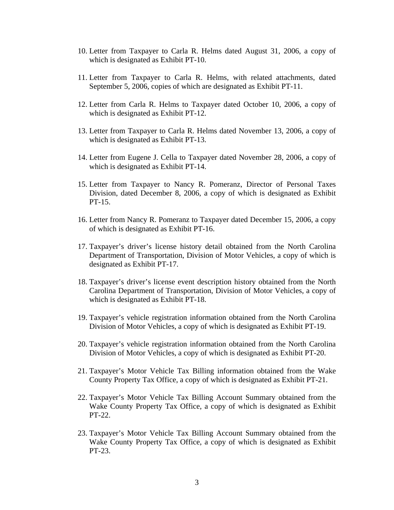- 10. Letter from Taxpayer to Carla R. Helms dated August 31, 2006, a copy of which is designated as Exhibit PT-10.
- 11. Letter from Taxpayer to Carla R. Helms, with related attachments, dated September 5, 2006, copies of which are designated as Exhibit PT-11.
- 12. Letter from Carla R. Helms to Taxpayer dated October 10, 2006, a copy of which is designated as Exhibit PT-12.
- 13. Letter from Taxpayer to Carla R. Helms dated November 13, 2006, a copy of which is designated as Exhibit PT-13.
- 14. Letter from Eugene J. Cella to Taxpayer dated November 28, 2006, a copy of which is designated as Exhibit PT-14.
- 15. Letter from Taxpayer to Nancy R. Pomeranz, Director of Personal Taxes Division, dated December 8, 2006, a copy of which is designated as Exhibit PT-15.
- 16. Letter from Nancy R. Pomeranz to Taxpayer dated December 15, 2006, a copy of which is designated as Exhibit PT-16.
- 17. Taxpayer's driver's license history detail obtained from the North Carolina Department of Transportation, Division of Motor Vehicles, a copy of which is designated as Exhibit PT-17.
- 18. Taxpayer's driver's license event description history obtained from the North Carolina Department of Transportation, Division of Motor Vehicles, a copy of which is designated as Exhibit PT-18.
- 19. Taxpayer's vehicle registration information obtained from the North Carolina Division of Motor Vehicles, a copy of which is designated as Exhibit PT-19.
- 20. Taxpayer's vehicle registration information obtained from the North Carolina Division of Motor Vehicles, a copy of which is designated as Exhibit PT-20.
- 21. Taxpayer's Motor Vehicle Tax Billing information obtained from the Wake County Property Tax Office, a copy of which is designated as Exhibit PT-21.
- 22. Taxpayer's Motor Vehicle Tax Billing Account Summary obtained from the Wake County Property Tax Office, a copy of which is designated as Exhibit PT-22.
- 23. Taxpayer's Motor Vehicle Tax Billing Account Summary obtained from the Wake County Property Tax Office, a copy of which is designated as Exhibit PT-23.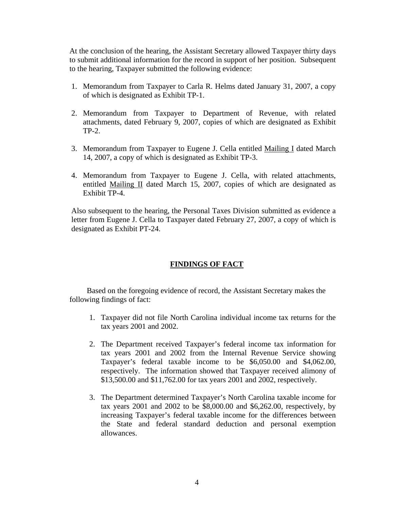At the conclusion of the hearing, the Assistant Secretary allowed Taxpayer thirty days to submit additional information for the record in support of her position. Subsequent to the hearing, Taxpayer submitted the following evidence:

- 1. Memorandum from Taxpayer to Carla R. Helms dated January 31, 2007, a copy of which is designated as Exhibit TP-1.
- 2. Memorandum from Taxpayer to Department of Revenue, with related attachments, dated February 9, 2007, copies of which are designated as Exhibit TP-2.
- 3. Memorandum from Taxpayer to Eugene J. Cella entitled Mailing I dated March 14, 2007, a copy of which is designated as Exhibit TP-3.
- 4. Memorandum from Taxpayer to Eugene J. Cella, with related attachments, entitled Mailing II dated March 15, 2007, copies of which are designated as Exhibit TP-4.

Also subsequent to the hearing, the Personal Taxes Division submitted as evidence a letter from Eugene J. Cella to Taxpayer dated February 27, 2007, a copy of which is designated as Exhibit PT-24.

# **FINDINGS OF FACT**

 Based on the foregoing evidence of record, the Assistant Secretary makes the following findings of fact:

- 1. Taxpayer did not file North Carolina individual income tax returns for the tax years 2001 and 2002.
- 2. The Department received Taxpayer's federal income tax information for tax years 2001 and 2002 from the Internal Revenue Service showing Taxpayer's federal taxable income to be \$6,050.00 and \$4,062.00, respectively. The information showed that Taxpayer received alimony of \$13,500.00 and \$11,762.00 for tax years 2001 and 2002, respectively.
- 3. The Department determined Taxpayer's North Carolina taxable income for tax years 2001 and 2002 to be \$8,000.00 and \$6,262.00, respectively, by increasing Taxpayer's federal taxable income for the differences between the State and federal standard deduction and personal exemption allowances.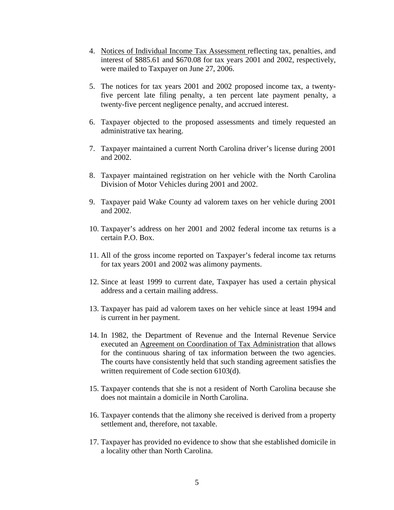- 4. Notices of Individual Income Tax Assessment reflecting tax, penalties, and interest of \$885.61 and \$670.08 for tax years 2001 and 2002, respectively, were mailed to Taxpayer on June 27, 2006.
- 5. The notices for tax years 2001 and 2002 proposed income tax, a twentyfive percent late filing penalty, a ten percent late payment penalty, a twenty-five percent negligence penalty, and accrued interest.
- 6. Taxpayer objected to the proposed assessments and timely requested an administrative tax hearing.
- 7. Taxpayer maintained a current North Carolina driver's license during 2001 and 2002.
- 8. Taxpayer maintained registration on her vehicle with the North Carolina Division of Motor Vehicles during 2001 and 2002.
- 9. Taxpayer paid Wake County ad valorem taxes on her vehicle during 2001 and 2002.
- 10. Taxpayer's address on her 2001 and 2002 federal income tax returns is a certain P.O. Box.
- 11. All of the gross income reported on Taxpayer's federal income tax returns for tax years 2001 and 2002 was alimony payments.
- 12. Since at least 1999 to current date, Taxpayer has used a certain physical address and a certain mailing address.
- 13. Taxpayer has paid ad valorem taxes on her vehicle since at least 1994 and is current in her payment.
- 14. In 1982, the Department of Revenue and the Internal Revenue Service executed an Agreement on Coordination of Tax Administration that allows for the continuous sharing of tax information between the two agencies. The courts have consistently held that such standing agreement satisfies the written requirement of Code section 6103(d).
- 15. Taxpayer contends that she is not a resident of North Carolina because she does not maintain a domicile in North Carolina.
- 16. Taxpayer contends that the alimony she received is derived from a property settlement and, therefore, not taxable.
- 17. Taxpayer has provided no evidence to show that she established domicile in a locality other than North Carolina.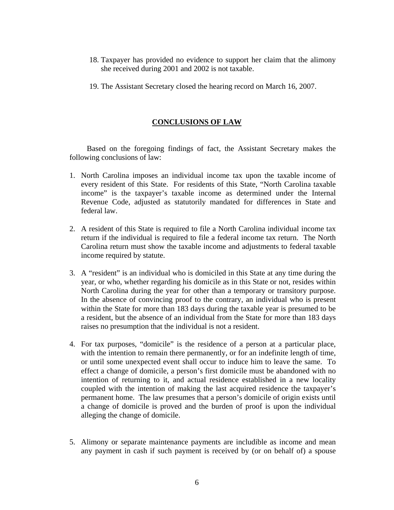- 18. Taxpayer has provided no evidence to support her claim that the alimony she received during 2001 and 2002 is not taxable.
- 19. The Assistant Secretary closed the hearing record on March 16, 2007.

# **CONCLUSIONS OF LAW**

 Based on the foregoing findings of fact, the Assistant Secretary makes the following conclusions of law:

- 1. North Carolina imposes an individual income tax upon the taxable income of every resident of this State. For residents of this State, "North Carolina taxable income" is the taxpayer's taxable income as determined under the Internal Revenue Code, adjusted as statutorily mandated for differences in State and federal law.
- 2. A resident of this State is required to file a North Carolina individual income tax return if the individual is required to file a federal income tax return. The North Carolina return must show the taxable income and adjustments to federal taxable income required by statute.
- 3. A "resident" is an individual who is domiciled in this State at any time during the year, or who, whether regarding his domicile as in this State or not, resides within North Carolina during the year for other than a temporary or transitory purpose. In the absence of convincing proof to the contrary, an individual who is present within the State for more than 183 days during the taxable year is presumed to be a resident, but the absence of an individual from the State for more than 183 days raises no presumption that the individual is not a resident.
- 4. For tax purposes, "domicile" is the residence of a person at a particular place, with the intention to remain there permanently, or for an indefinite length of time, or until some unexpected event shall occur to induce him to leave the same. To effect a change of domicile, a person's first domicile must be abandoned with no intention of returning to it, and actual residence established in a new locality coupled with the intention of making the last acquired residence the taxpayer's permanent home. The law presumes that a person's domicile of origin exists until a change of domicile is proved and the burden of proof is upon the individual alleging the change of domicile.
- 5. Alimony or separate maintenance payments are includible as income and mean any payment in cash if such payment is received by (or on behalf of) a spouse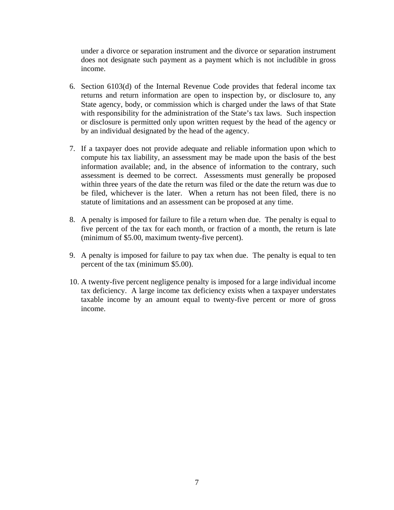under a divorce or separation instrument and the divorce or separation instrument does not designate such payment as a payment which is not includible in gross income.

- 6. Section 6103(d) of the Internal Revenue Code provides that federal income tax returns and return information are open to inspection by, or disclosure to, any State agency, body, or commission which is charged under the laws of that State with responsibility for the administration of the State's tax laws. Such inspection or disclosure is permitted only upon written request by the head of the agency or by an individual designated by the head of the agency.
- 7. If a taxpayer does not provide adequate and reliable information upon which to compute his tax liability, an assessment may be made upon the basis of the best information available; and, in the absence of information to the contrary, such assessment is deemed to be correct. Assessments must generally be proposed within three years of the date the return was filed or the date the return was due to be filed, whichever is the later. When a return has not been filed, there is no statute of limitations and an assessment can be proposed at any time.
- 8. A penalty is imposed for failure to file a return when due. The penalty is equal to five percent of the tax for each month, or fraction of a month, the return is late (minimum of \$5.00, maximum twenty-five percent).
- 9. A penalty is imposed for failure to pay tax when due. The penalty is equal to ten percent of the tax (minimum \$5.00).
- 10. A twenty-five percent negligence penalty is imposed for a large individual income tax deficiency. A large income tax deficiency exists when a taxpayer understates taxable income by an amount equal to twenty-five percent or more of gross income.